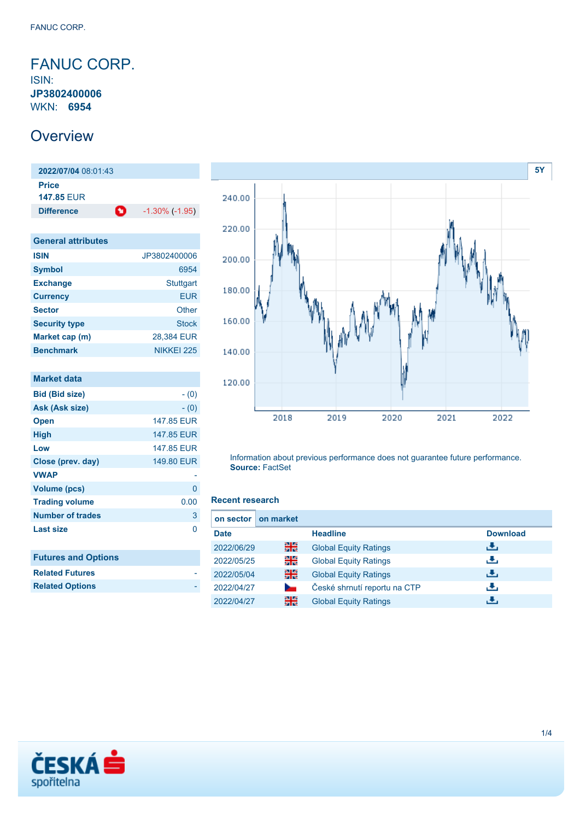## <span id="page-0-0"></span>FANUC CORP. ISIN: **JP3802400006**

WKN: **6954**

# **Overview**

**2022/07/04** 08:01:43 **Price 147.85** EUR **Difference 1.30% (-1.95)** 

| JP3802400006 |
|--------------|
| 6954         |
| Stuttgart    |
| <b>EUR</b>   |
| Other        |
| <b>Stock</b> |
| 28,384 EUR   |
| NIKKEI 225   |
|              |

| <b>Market data</b>         |            |
|----------------------------|------------|
| Bid (Bid size)             | $- (0)$    |
| Ask (Ask size)             | $- (0)$    |
| <b>Open</b>                | 147.85 EUR |
| High                       | 147.85 EUR |
| Low                        | 147.85 EUR |
| Close (prev. day)          | 149.80 EUR |
| <b>VWAP</b>                |            |
| <b>Volume (pcs)</b>        | 0          |
| <b>Trading volume</b>      | 0.00       |
| <b>Number of trades</b>    | 3          |
| <b>Last size</b>           | ი          |
|                            |            |
| <b>Futures and Options</b> |            |
| <b>Related Futures</b>     |            |
| <b>Related Options</b>     |            |
|                            |            |



Information about previous performance does not guarantee future performance. **Source:** FactSet

### **Recent research**

| on sector   | on market      |                              |                 |
|-------------|----------------|------------------------------|-----------------|
| <b>Date</b> |                | <b>Headline</b>              | <b>Download</b> |
| 2022/06/29  | 을중             | <b>Global Equity Ratings</b> | đ۴,             |
| 2022/05/25  | 읡              | <b>Global Equity Ratings</b> | æ,              |
| 2022/05/04  | 을              | <b>Global Equity Ratings</b> | Æ,              |
| 2022/04/27  | <b>Service</b> | České shrnutí reportu na CTP | راق             |
| 2022/04/27  | 을중             | <b>Global Equity Ratings</b> | æ,              |

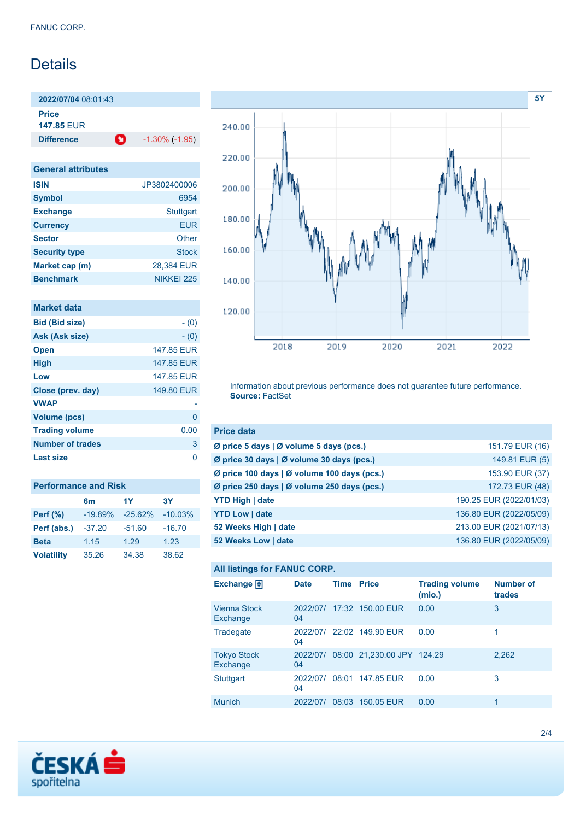# Details

**2022/07/04** 08:01:43 **Price**

**147.85** EUR

**Difference 1.30% (-1.95)** 

**General attributes ISIN** JP3802400006 **Symbol** 6954 Exchange **Stuttgart Currency** EUR **Sector** Other **Security type** Stock **Market cap (m)** 28,384 EUR **Benchmark** NIKKEI 225

| Market data             |            |
|-------------------------|------------|
| <b>Bid (Bid size)</b>   | $- (0)$    |
| Ask (Ask size)          | $- (0)$    |
| <b>Open</b>             | 147.85 FUR |
| <b>High</b>             | 147.85 EUR |
| Low                     | 147.85 FUR |
| Close (prev. day)       | 149.80 EUR |
| <b>VWAP</b>             |            |
| <b>Volume (pcs)</b>     | n          |
| <b>Trading volume</b>   | 0.00       |
| <b>Number of trades</b> | 3          |
| Last size               |            |

| <b>Performance and Risk</b> |           |           |           |  |
|-----------------------------|-----------|-----------|-----------|--|
|                             | 6m        | 1Y        | 3Υ        |  |
| <b>Perf</b> (%)             | $-19.89%$ | $-25.62%$ | $-10.03%$ |  |
| Perf (abs.)                 | $-37.20$  | $-51.60$  | $-16.70$  |  |
| <b>Beta</b>                 | 1.15      | 1.29      | 1.23      |  |
| <b>Volatility</b>           | 35.26     | 34.38     | 38.62     |  |



Information about previous performance does not guarantee future performance. **Source:** FactSet

| <b>Price data</b>                             |                         |
|-----------------------------------------------|-------------------------|
| Ø price 5 days $\vert$ Ø volume 5 days (pcs.) | 151.79 EUR (16)         |
| Ø price 30 days   Ø volume 30 days (pcs.)     | 149.81 EUR (5)          |
| Ø price 100 days   Ø volume 100 days (pcs.)   | 153.90 EUR (37)         |
| Ø price 250 days   Ø volume 250 days (pcs.)   | 172.73 EUR (48)         |
| <b>YTD High   date</b>                        | 190.25 EUR (2022/01/03) |
| <b>YTD Low   date</b>                         | 136.80 EUR (2022/05/09) |
| 52 Weeks High   date                          | 213.00 EUR (2021/07/13) |
| 52 Weeks Low   date                           | 136.80 EUR (2022/05/09) |

### **All listings for FANUC CORP.**

| Exchange $\Box$                 | <b>Date</b>    | <b>Time Price</b> |                                     | <b>Trading volume</b><br>(mio.) | <b>Number of</b><br>trades |
|---------------------------------|----------------|-------------------|-------------------------------------|---------------------------------|----------------------------|
| <b>Vienna Stock</b><br>Exchange | 04             |                   | 2022/07/ 17:32 150.00 EUR           | 0.00                            | 3                          |
| Tradegate                       | 04             |                   | 2022/07/ 22:02 149.90 EUR           | 0.00                            |                            |
| <b>Tokyo Stock</b><br>Exchange  | 04             |                   | 2022/07/ 08:00 21,230.00 JPY 124.29 |                                 | 2,262                      |
| <b>Stuttgart</b>                | 2022/07/<br>04 |                   | 08:01 147.85 EUR                    | 0.00                            | 3                          |
| <b>Munich</b>                   | 2022/07/       | 08:03             | 150.05 EUR                          | 0.00                            | 1                          |

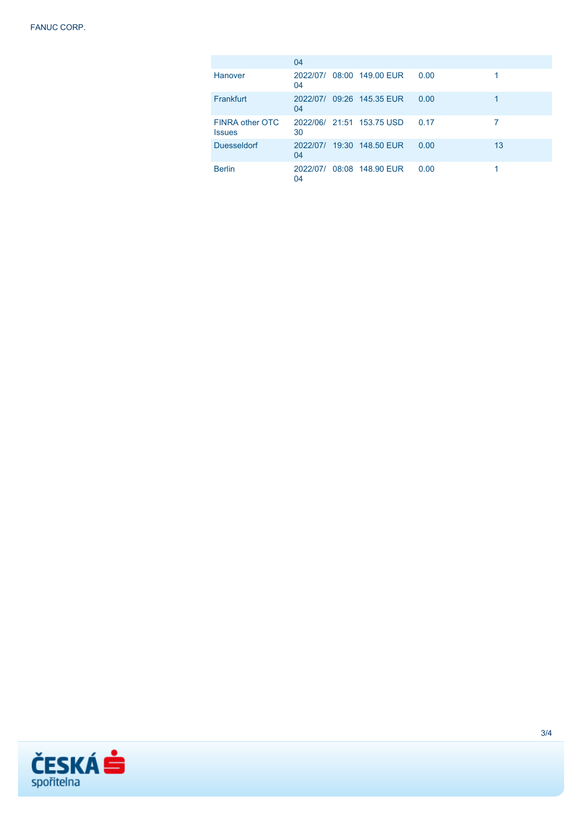|                                  | 04             |                           |      |    |
|----------------------------------|----------------|---------------------------|------|----|
| Hanover                          | 2022/07/<br>04 | 08:00 149.00 EUR          | 0.00 |    |
| Frankfurt                        | 2022/07/<br>04 | 09:26 145.35 EUR          | 0.00 |    |
| FINRA other OTC<br><b>Issues</b> | 30             | 2022/06/ 21:51 153.75 USD | 0.17 |    |
| <b>Duesseldorf</b>               | 2022/07/<br>04 | 19:30 148.50 EUR          | 0.00 | 13 |
| <b>Berlin</b>                    | 2022/07/<br>04 | 08:08 148.90 EUR          | 0.00 |    |